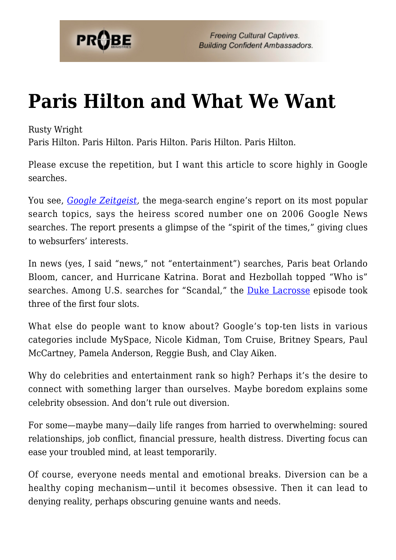

## **[Paris Hilton and What We Want](https://probe.org/paris-hilton-and-what-we-want/)**

Rusty Wright

Paris Hilton. Paris Hilton. Paris Hilton. Paris Hilton. Paris Hilton.

Please excuse the repetition, but I want this article to score highly in Google searches.

You see, *[Google Zeitgeist,](http://www.google.com/intl/en/press/zeitgeist2006.html)* the mega-search engine's report on its most popular search topics, says the heiress scored number one on 2006 Google News searches. The report presents a glimpse of the "spirit of the times," giving clues to websurfers' interests.

In news (yes, I said "news," not "entertainment") searches, Paris beat Orlando Bloom, cancer, and Hurricane Katrina. Borat and Hezbollah topped "Who is" searches. Among U.S. searches for "Scandal," the **[Duke Lacrosse](http://www.probe.org/rusty-wright-articles/rusty-wright-articles/duke-lacrosse-ethical-reflections.html)** episode took three of the first four slots.

What else do people want to know about? Google's top-ten lists in various categories include MySpace, Nicole Kidman, Tom Cruise, Britney Spears, Paul McCartney, Pamela Anderson, Reggie Bush, and Clay Aiken.

Why do celebrities and entertainment rank so high? Perhaps it's the desire to connect with something larger than ourselves. Maybe boredom explains some celebrity obsession. And don't rule out diversion.

For some—maybe many—daily life ranges from harried to overwhelming: soured relationships, job conflict, financial pressure, health distress. Diverting focus can ease your troubled mind, at least temporarily.

Of course, everyone needs mental and emotional breaks. Diversion can be a healthy coping mechanism—until it becomes obsessive. Then it can lead to denying reality, perhaps obscuring genuine wants and needs.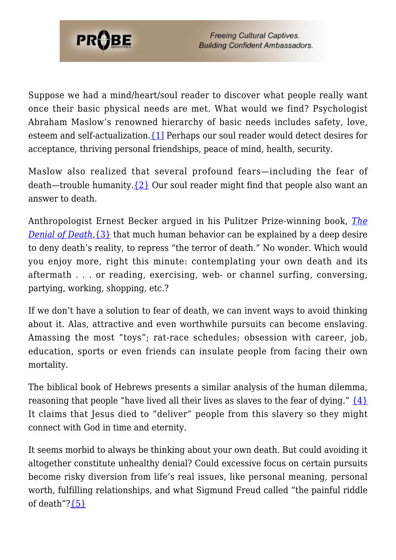

Suppose we had a mind/heart/soul reader to discover what people really want once their basic physical needs are met. What would we find? Psychologist Abraham Maslow's renowned hierarchy of basic needs includes safety, love, esteem and self-actualization[.{1\]](#page-2-0) Perhaps our soul reader would detect desires for acceptance, thriving personal friendships, peace of mind, health, security.

Maslow also realized that several profound fears—including the fear of death—trouble humanity[.{2}](#page-2-1) Our soul reader might find that people also want an answer to death.

Anthropologist Ernest Becker argued in his Pulitzer Prize-winning book, *[The](http://www.amazon.com/DENIAL-DEATH-Ernest-Becker/dp/0684832402) [Denial of Death](http://www.amazon.com/DENIAL-DEATH-Ernest-Becker/dp/0684832402)*[,{3}](#page-2-2) that much human behavior can be explained by a deep desire to deny death's reality, to repress "the terror of death." No wonder. Which would you enjoy more, right this minute: contemplating your own death and its aftermath . . . or reading, exercising, web- or channel surfing, conversing, partying, working, shopping, etc.?

If we don't have a solution to fear of death, we can invent ways to avoid thinking about it. Alas, attractive and even worthwhile pursuits can become enslaving. Amassing the most "toys"; rat-race schedules; obsession with career, job, education, sports or even friends can insulate people from facing their own mortality.

The biblical book of Hebrews presents a similar analysis of the human dilemma, reasoning that people "have lived all their lives as slaves to the fear of dying."  $\{4\}$ It claims that Jesus died to "deliver" people from this slavery so they might connect with God in time and eternity.

It seems morbid to always be thinking about your own death. But could avoiding it altogether constitute unhealthy denial? Could excessive focus on certain pursuits become risky diversion from life's real issues, like personal meaning, personal worth, fulfilling relationships, and what Sigmund Freud called "the painful riddle of death"? ${5}$